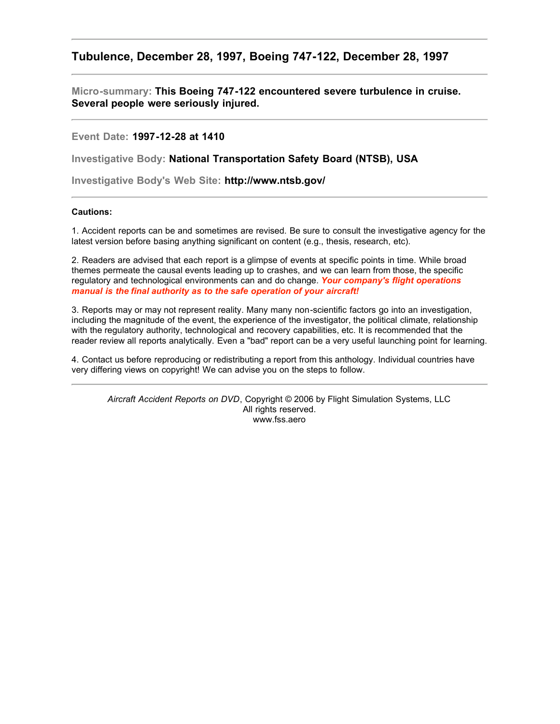# **Tubulence, December 28, 1997, Boeing 747-122, December 28, 1997**

**Micro-summary: This Boeing 747-122 encountered severe turbulence in cruise. Several people were seriously injured.**

**Event Date: 1997-12-28 at 1410**

**Investigative Body: National Transportation Safety Board (NTSB), USA**

**Investigative Body's Web Site: http://www.ntsb.gov/**

# **Cautions:**

1. Accident reports can be and sometimes are revised. Be sure to consult the investigative agency for the latest version before basing anything significant on content (e.g., thesis, research, etc).

2. Readers are advised that each report is a glimpse of events at specific points in time. While broad themes permeate the causal events leading up to crashes, and we can learn from those, the specific regulatory and technological environments can and do change. *Your company's flight operations manual is the final authority as to the safe operation of your aircraft!*

3. Reports may or may not represent reality. Many many non-scientific factors go into an investigation, including the magnitude of the event, the experience of the investigator, the political climate, relationship with the regulatory authority, technological and recovery capabilities, etc. It is recommended that the reader review all reports analytically. Even a "bad" report can be a very useful launching point for learning.

4. Contact us before reproducing or redistributing a report from this anthology. Individual countries have very differing views on copyright! We can advise you on the steps to follow.

*Aircraft Accident Reports on DVD*, Copyright © 2006 by Flight Simulation Systems, LLC All rights reserved. www.fss.aero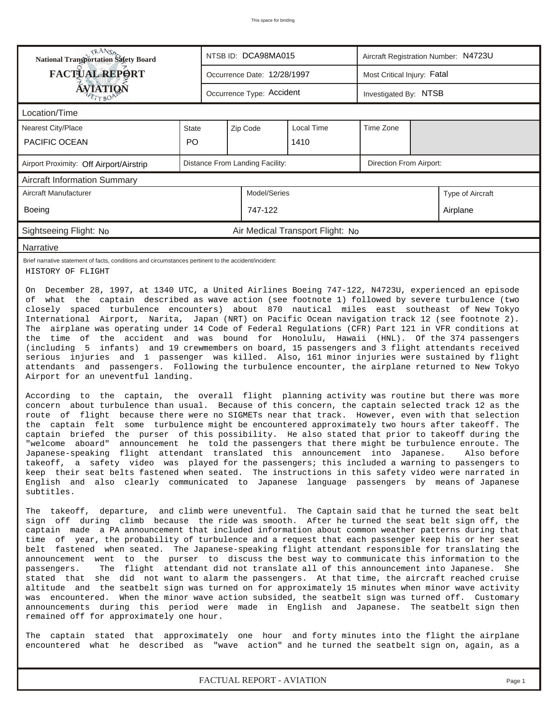| <b>National Transportation Safety Board</b><br>NTSB ID: DCA98MA015<br>Aircraft Registration Number: N4723U                                                                                                                                                                                                                                                                                                                                                                                                                                                                                                                                                                                                                                                                                                                                                                                                                                                                                                                                                                                                                                                                                                                                                                                                                                                                                                                                                                                                                                                                                                                                                                                                                                                                                                                                                                                                                                                                                                                                                                                                                                                                                                       |                                                            |                                                    |                                 |                                  |                         |  |                  |  |  |
|------------------------------------------------------------------------------------------------------------------------------------------------------------------------------------------------------------------------------------------------------------------------------------------------------------------------------------------------------------------------------------------------------------------------------------------------------------------------------------------------------------------------------------------------------------------------------------------------------------------------------------------------------------------------------------------------------------------------------------------------------------------------------------------------------------------------------------------------------------------------------------------------------------------------------------------------------------------------------------------------------------------------------------------------------------------------------------------------------------------------------------------------------------------------------------------------------------------------------------------------------------------------------------------------------------------------------------------------------------------------------------------------------------------------------------------------------------------------------------------------------------------------------------------------------------------------------------------------------------------------------------------------------------------------------------------------------------------------------------------------------------------------------------------------------------------------------------------------------------------------------------------------------------------------------------------------------------------------------------------------------------------------------------------------------------------------------------------------------------------------------------------------------------------------------------------------------------------|------------------------------------------------------------|----------------------------------------------------|---------------------------------|----------------------------------|-------------------------|--|------------------|--|--|
| <b>FACTUAL REPORT</b>                                                                                                                                                                                                                                                                                                                                                                                                                                                                                                                                                                                                                                                                                                                                                                                                                                                                                                                                                                                                                                                                                                                                                                                                                                                                                                                                                                                                                                                                                                                                                                                                                                                                                                                                                                                                                                                                                                                                                                                                                                                                                                                                                                                            | Most Critical Injury: Fatal<br>Occurrence Date: 12/28/1997 |                                                    |                                 |                                  |                         |  |                  |  |  |
| AVIATION                                                                                                                                                                                                                                                                                                                                                                                                                                                                                                                                                                                                                                                                                                                                                                                                                                                                                                                                                                                                                                                                                                                                                                                                                                                                                                                                                                                                                                                                                                                                                                                                                                                                                                                                                                                                                                                                                                                                                                                                                                                                                                                                                                                                         |                                                            | Occurrence Type: Accident<br>Investigated By: NTSB |                                 |                                  |                         |  |                  |  |  |
| Location/Time                                                                                                                                                                                                                                                                                                                                                                                                                                                                                                                                                                                                                                                                                                                                                                                                                                                                                                                                                                                                                                                                                                                                                                                                                                                                                                                                                                                                                                                                                                                                                                                                                                                                                                                                                                                                                                                                                                                                                                                                                                                                                                                                                                                                    |                                                            |                                                    |                                 |                                  |                         |  |                  |  |  |
| <b>Nearest City/Place</b>                                                                                                                                                                                                                                                                                                                                                                                                                                                                                                                                                                                                                                                                                                                                                                                                                                                                                                                                                                                                                                                                                                                                                                                                                                                                                                                                                                                                                                                                                                                                                                                                                                                                                                                                                                                                                                                                                                                                                                                                                                                                                                                                                                                        | State                                                      |                                                    | Zip Code                        | Local Time                       | Time Zone               |  |                  |  |  |
| PACIFIC OCEAN                                                                                                                                                                                                                                                                                                                                                                                                                                                                                                                                                                                                                                                                                                                                                                                                                                                                                                                                                                                                                                                                                                                                                                                                                                                                                                                                                                                                                                                                                                                                                                                                                                                                                                                                                                                                                                                                                                                                                                                                                                                                                                                                                                                                    | PO                                                         |                                                    |                                 | 1410                             |                         |  |                  |  |  |
| Airport Proximity: Off Airport/Airstrip                                                                                                                                                                                                                                                                                                                                                                                                                                                                                                                                                                                                                                                                                                                                                                                                                                                                                                                                                                                                                                                                                                                                                                                                                                                                                                                                                                                                                                                                                                                                                                                                                                                                                                                                                                                                                                                                                                                                                                                                                                                                                                                                                                          |                                                            |                                                    | Distance From Landing Facility: |                                  | Direction From Airport: |  |                  |  |  |
| <b>Aircraft Information Summary</b>                                                                                                                                                                                                                                                                                                                                                                                                                                                                                                                                                                                                                                                                                                                                                                                                                                                                                                                                                                                                                                                                                                                                                                                                                                                                                                                                                                                                                                                                                                                                                                                                                                                                                                                                                                                                                                                                                                                                                                                                                                                                                                                                                                              |                                                            |                                                    |                                 |                                  |                         |  |                  |  |  |
| Aircraft Manufacturer                                                                                                                                                                                                                                                                                                                                                                                                                                                                                                                                                                                                                                                                                                                                                                                                                                                                                                                                                                                                                                                                                                                                                                                                                                                                                                                                                                                                                                                                                                                                                                                                                                                                                                                                                                                                                                                                                                                                                                                                                                                                                                                                                                                            |                                                            |                                                    | Model/Series                    |                                  |                         |  | Type of Aircraft |  |  |
| Boeing                                                                                                                                                                                                                                                                                                                                                                                                                                                                                                                                                                                                                                                                                                                                                                                                                                                                                                                                                                                                                                                                                                                                                                                                                                                                                                                                                                                                                                                                                                                                                                                                                                                                                                                                                                                                                                                                                                                                                                                                                                                                                                                                                                                                           |                                                            |                                                    | 747-122                         |                                  |                         |  | Airplane         |  |  |
| Sightseeing Flight: No                                                                                                                                                                                                                                                                                                                                                                                                                                                                                                                                                                                                                                                                                                                                                                                                                                                                                                                                                                                                                                                                                                                                                                                                                                                                                                                                                                                                                                                                                                                                                                                                                                                                                                                                                                                                                                                                                                                                                                                                                                                                                                                                                                                           |                                                            |                                                    |                                 | Air Medical Transport Flight: No |                         |  |                  |  |  |
| Narrative                                                                                                                                                                                                                                                                                                                                                                                                                                                                                                                                                                                                                                                                                                                                                                                                                                                                                                                                                                                                                                                                                                                                                                                                                                                                                                                                                                                                                                                                                                                                                                                                                                                                                                                                                                                                                                                                                                                                                                                                                                                                                                                                                                                                        |                                                            |                                                    |                                 |                                  |                         |  |                  |  |  |
| Brief narrative statement of facts, conditions and circumstances pertinent to the accident/incident:<br>HISTORY OF FLIGHT                                                                                                                                                                                                                                                                                                                                                                                                                                                                                                                                                                                                                                                                                                                                                                                                                                                                                                                                                                                                                                                                                                                                                                                                                                                                                                                                                                                                                                                                                                                                                                                                                                                                                                                                                                                                                                                                                                                                                                                                                                                                                        |                                                            |                                                    |                                 |                                  |                         |  |                  |  |  |
| of what the captain described as wave action (see footnote 1) followed by severe turbulence (two<br>closely spaced turbulence encounters) about 870 nautical miles east southeast of New Tokyo<br>International Airport, Narita, Japan (NRT) on Pacific Ocean navigation track 12 (see footnote 2).<br>The airplane was operating under 14 Code of Federal Regulations (CFR) Part 121 in VFR conditions at<br>the time of the accident and was bound for Honolulu, Hawaii (HNL). Of the 374 passengers<br>(including 5 infants) and 19 crewmembers on board, 15 passengers and 3 flight attendants received<br>serious injuries and 1 passenger was killed. Also, 161 minor injuries were sustained by flight<br>attendants and passengers. Following the turbulence encounter, the airplane returned to New Tokyo<br>Airport for an uneventful landing.<br>According to the captain, the overall flight planning activity was routine but there was more<br>concern about turbulence than usual. Because of this concern, the captain selected track 12 as the<br>route of flight because there were no SIGMETs near that track. However, even with that selection<br>the captain felt some turbulence might be encountered approximately two hours after takeoff. The<br>captain briefed the purser of this possibility. He also stated that prior to takeoff during the<br>"welcome aboard"<br>announcement he told the passengers that there might be turbulence enroute. The<br>Japanese-speaking flight attendant translated this announcement into Japanese. Also-before<br>takeoff, a safety video was played for the passengers; this included a warning to passengers to<br>keep their seat belts fastened when seated. The instructions in this safety video were narrated in<br>English and also clearly communicated to Japanese language passengers by means of Japanese<br>subtitles.<br>The takeoff, departure, and climb were uneventful. The Captain said that he turned the seat belt<br>sign off during climb because the ride was smooth. After he turned the seat belt sign off, the<br>captain made a PA announcement that included information about common weather patterns during that |                                                            |                                                    |                                 |                                  |                         |  |                  |  |  |
| time of year, the probability of turbulence and a request that each passenger keep his or her seat<br>belt fastened when seated. The Japanese-speaking flight attendant responsible for translating the<br>announcement went to the purser to discuss the best way to communicate this information to the<br>The flight attendant did not translate all of this announcement into Japanese.<br>passengers.<br>She<br>stated that she did not want to alarm the passengers. At that time, the aircraft reached cruise<br>altitude and the seatbelt sign was turned on for approximately 15 minutes when minor wave activity<br>was encountered. When the minor wave action subsided, the seatbelt sign was turned off. Customary<br>announcements during this period were made in English and Japanese. The seatbelt sign then<br>remained off for approximately one hour.                                                                                                                                                                                                                                                                                                                                                                                                                                                                                                                                                                                                                                                                                                                                                                                                                                                                                                                                                                                                                                                                                                                                                                                                                                                                                                                                        |                                                            |                                                    |                                 |                                  |                         |  |                  |  |  |
| The captain stated that approximately one hour and forty minutes into the flight the airplane<br>encountered what he described as "wave action" and he turned the seatbelt sign on, again, as a                                                                                                                                                                                                                                                                                                                                                                                                                                                                                                                                                                                                                                                                                                                                                                                                                                                                                                                                                                                                                                                                                                                                                                                                                                                                                                                                                                                                                                                                                                                                                                                                                                                                                                                                                                                                                                                                                                                                                                                                                  |                                                            |                                                    |                                 |                                  |                         |  |                  |  |  |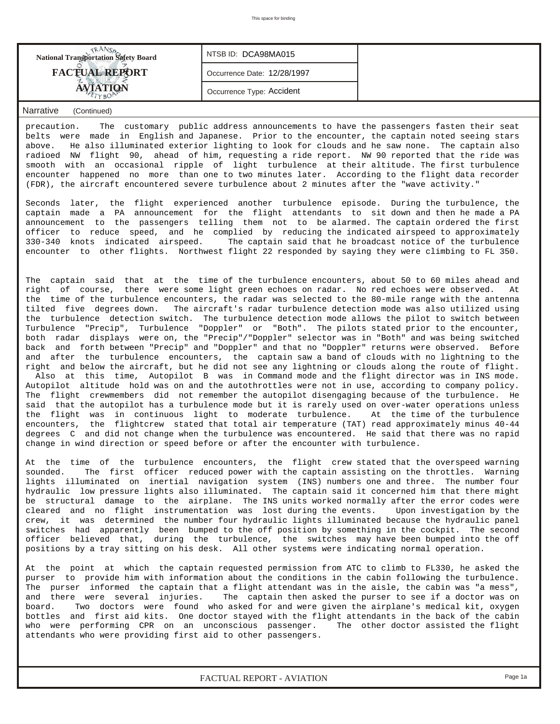| <b>National Transportation Safety Board</b> | NTSB ID: DCA98MA015         |  |
|---------------------------------------------|-----------------------------|--|
| <b>FACTUAL REPORT</b>                       | Occurrence Date: 12/28/1997 |  |
|                                             | Occurrence Type: Accident   |  |

precaution. The customary public address announcements to have the passengers fasten their seat belts were made in English and Japanese. Prior to the encounter, the captain noted seeing stars above. He also illuminated exterior lighting to look for clouds and he saw none. The captain also radioed NW flight 90, ahead of him, requesting a ride report. NW 90 reported that the ride was smooth with an occasional ripple of light turbulence at their altitude. The first turbulence encounter happened no more than one to two minutes later. According to the flight data recorder (FDR), the aircraft encountered severe turbulence about 2 minutes after the "wave activity."

Seconds later, the flight experienced another turbulence episode. During the turbulence, the captain made a PA announcement for the flight attendants to sit down and then he made a PA announcement to the passengers telling them not to be alarmed. The captain ordered the first officer to reduce speed, and he complied by reducing the indicated airspeed to approximately 330-340 knots indicated airspeed. The captain said that he broadcast notice of the turbulence encounter to other flights. Northwest flight 22 responded by saying they were climbing to FL 350.

The captain said that at the time of the turbulence encounters, about 50 to 60 miles ahead and right of course, there were some light green echoes on radar. No red echoes were observed. At the time of the turbulence encounters, the radar was selected to the 80-mile range with the antenna tilted five degrees down. The aircraft's radar turbulence detection mode was also utilized using the turbulence detection switch. The turbulence detection mode allows the pilot to switch between Turbulence "Precip", Turbulence "Doppler" or "Both". The pilots stated prior to the encounter, both radar displays were on, the "Precip"/"Doppler" selector was in "Both" and was being switched back and forth between "Precip" and "Doppler" and that no "Doppler" returns were observed. Before and after the turbulence encounters, the captain saw a band of clouds with no lightning to the right and below the aircraft, but he did not see any lightning or clouds along the route of flight. Also at this time, Autopilot B was in Command mode and the flight director was in INS mode. Autopilot altitude hold was on and the autothrottles were not in use, according to company policy. The flight crewmembers did not remember the autopilot disengaging because of the turbulence. He said that the autopilot has a turbulence mode but it is rarely used on over-water operations unless the flight was in continuous light to moderate turbulence. At the time of the turbulence encounters, the flightcrew stated that total air temperature (TAT) read approximately minus 40-44 degrees C and did not change when the turbulence was encountered. He said that there was no rapid change in wind direction or speed before or after the encounter with turbulence.

At the time of the turbulence encounters, the flight crew stated that the overspeed warning sounded. The first officer reduced power with the captain assisting on the throttles. Warning lights illuminated on inertial navigation system (INS) numbers one and three. The number four hydraulic low pressure lights also illuminated. The captain said it concerned him that there might be structural damage to the airplane. The INS units worked normally after the error codes were cleared and no flight instrumentation was lost during the events. Upon investigation by the crew, it was determined the number four hydraulic lights illuminated because the hydraulic panel switches had apparently been bumped to the off position by something in the cockpit. The second officer believed that, during the turbulence, the switches may have been bumped into the off positions by a tray sitting on his desk. All other systems were indicating normal operation.

At the point at which the captain requested permission from ATC to climb to FL330, he asked the purser to provide him with information about the conditions in the cabin following the turbulence. The purser informed the captain that a flight attendant was in the aisle, the cabin was "a mess", and there were several injuries. The captain then asked the purser to see if a doctor was on board. Two doctors were found who asked for and were given the airplane's medical kit, oxygen bottles and first aid kits. One doctor stayed with the flight attendants in the back of the cabin who were performing CPR on an unconscious passenger. The other doctor assisted the flight attendants who were providing first aid to other passengers.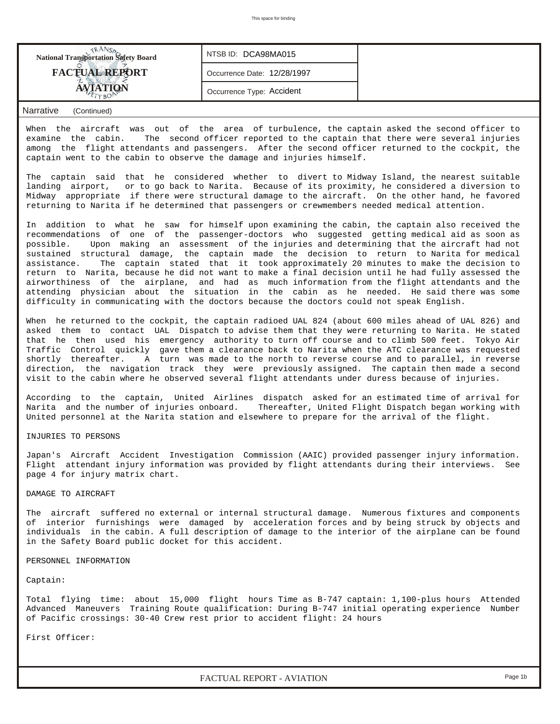| <b>National Transportation Safety Board</b> | NTSB ID: DCA98MA015         |  |
|---------------------------------------------|-----------------------------|--|
| <b>FACTUAL REPORT</b>                       | Occurrence Date: 12/28/1997 |  |
|                                             | Occurrence Type: Accident   |  |

When the aircraft was out of the area of turbulence, the captain asked the second officer to examine the cabin. The second officer reported to the captain that there were several injuries among the flight attendants and passengers. After the second officer returned to the cockpit, the captain went to the cabin to observe the damage and injuries himself.

The captain said that he considered whether to divert to Midway Island, the nearest suitable landing airport, or to go back to Narita. Because of its proximity, he considered a diversion to Midway appropriate if there were structural damage to the aircraft. On the other hand, he favored returning to Narita if he determined that passengers or crewmembers needed medical attention.

In addition to what he saw for himself upon examining the cabin, the captain also received the recommendations of one of the passenger-doctors who suggested getting medical aid as soon as possible. Upon making an assessment of the injuries and determining that the aircraft had not sustained structural damage, the captain made the decision to return to Narita for medical assistance. The captain stated that it took approximately 20 minutes to make the decision to return to Narita, because he did not want to make a final decision until he had fully assessed the airworthiness of the airplane, and had as much information from the flight attendants and the attending physician about the situation in the cabin as he needed. He said there was some difficulty in communicating with the doctors because the doctors could not speak English.

When he returned to the cockpit, the captain radioed UAL 824 (about 600 miles ahead of UAL 826) and asked them to contact UAL Dispatch to advise them that they were returning to Narita. He stated that he then used his emergency authority to turn off course and to climb 500 feet. Tokyo Air Traffic Control quickly gave them a clearance back to Narita when the ATC clearance was requested shortly thereafter. A turn was made to the north to reverse course and to parallel, in reverse direction, the navigation track they were previously assigned. The captain then made a second visit to the cabin where he observed several flight attendants under duress because of injuries.

According to the captain, United Airlines dispatch asked for an estimated time of arrival for Narita and the number of injuries onboard. Thereafter, United Flight Dispatch began working with United personnel at the Narita station and elsewhere to prepare for the arrival of the flight.

### INJURIES TO PERSONS

Japan's Aircraft Accident Investigation Commission (AAIC) provided passenger injury information. Flight attendant injury information was provided by flight attendants during their interviews. See page 4 for injury matrix chart.

### DAMAGE TO AIRCRAFT

The aircraft suffered no external or internal structural damage. Numerous fixtures and components of interior furnishings were damaged by acceleration forces and by being struck by objects and individuals in the cabin. A full description of damage to the interior of the airplane can be found in the Safety Board public docket for this accident.

### PERSONNEL INFORMATION

### Captain:

Total flying time: about 15,000 flight hours Time as B-747 captain: 1,100-plus hours Attended Advanced Maneuvers Training Route qualification: During B-747 initial operating experience Number of Pacific crossings: 30-40 Crew rest prior to accident flight: 24 hours

First Officer:

*FACTUAL REPORT - AVIATION Page 1b*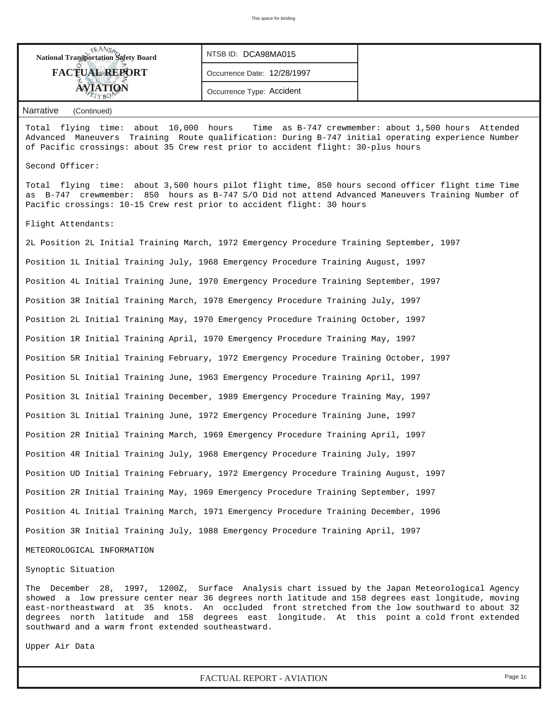| <b>National Transportation Safety Board</b> | NTSB ID: DCA98MA015         |  |
|---------------------------------------------|-----------------------------|--|
| <b>FACTUAL REPORT</b>                       | Occurrence Date: 12/28/1997 |  |
| <b>AVIATION</b>                             | Occurrence Type: Accident   |  |

Total flying time: about 10,000 hours Time as B-747 crewmember: about 1,500 hours Attended Advanced Maneuvers Training Route qualification: During B-747 initial operating experience Number of Pacific crossings: about 35 Crew rest prior to accident flight: 30-plus hours

### Second Officer:

Total flying time: about 3,500 hours pilot flight time, 850 hours second officer flight time Time as B-747 crewmember: 850 hours as B-747 S/O Did not attend Advanced Maneuvers Training Number of Pacific crossings: 10-15 Crew rest prior to accident flight: 30 hours

#### Flight Attendants:

2L Position 2L Initial Training March, 1972 Emergency Procedure Training September, 1997 Position 1L Initial Training July, 1968 Emergency Procedure Training August, 1997 Position 4L Initial Training June, 1970 Emergency Procedure Training September, 1997 Position 3R Initial Training March, 1978 Emergency Procedure Training July, 1997 Position 2L Initial Training May, 1970 Emergency Procedure Training October, 1997 Position 1R Initial Training April, 1970 Emergency Procedure Training May, 1997 Position 5R Initial Training February, 1972 Emergency Procedure Training October, 1997 Position 5L Initial Training June, 1963 Emergency Procedure Training April, 1997 Position 3L Initial Training December, 1989 Emergency Procedure Training May, 1997 Position 3L Initial Training June, 1972 Emergency Procedure Training June, 1997 Position 2R Initial Training March, 1969 Emergency Procedure Training April, 1997 Position 4R Initial Training July, 1968 Emergency Procedure Training July, 1997 Position UD Initial Training February, 1972 Emergency Procedure Training August, 1997 Position 2R Initial Training May, 1969 Emergency Procedure Training September, 1997 Position 4L Initial Training March, 1971 Emergency Procedure Training December, 1996 Position 3R Initial Training July, 1988 Emergency Procedure Training April, 1997

METEOROLOGICAL INFORMATION

Synoptic Situation

The December 28, 1997, 1200Z, Surface Analysis chart issued by the Japan Meteorological Agency showed a low pressure center near 36 degrees north latitude and 158 degrees east longitude, moving east-northeastward at 35 knots. An occluded front stretched from the low southward to about 32 degrees north latitude and 158 degrees east longitude. At this point a cold front extended southward and a warm front extended southeastward.

Upper Air Data

*FACTUAL REPORT - AVIATION Page 1c*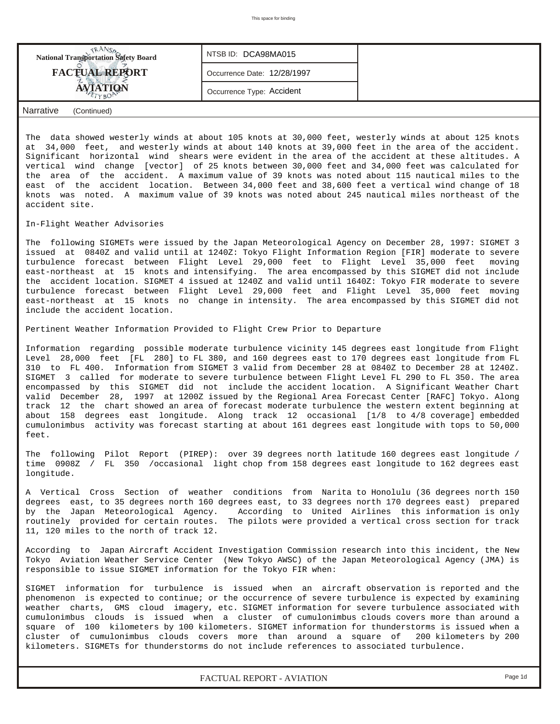| <b>National Transportation Safety Board</b> | NTSB ID: DCA98MA015         |  |
|---------------------------------------------|-----------------------------|--|
| <b>FACTUAL REPORT</b>                       | Occurrence Date: 12/28/1997 |  |
|                                             | Occurrence Type: Accident   |  |
| المستلف والمستحدث<br>$\sim$ $\sim$ $\sim$   |                             |  |

The data showed westerly winds at about 105 knots at 30,000 feet, westerly winds at about 125 knots at 34,000 feet, and westerly winds at about 140 knots at 39,000 feet in the area of the accident. Significant horizontal wind shears were evident in the area of the accident at these altitudes. A vertical wind change [vector] of 25 knots between 30,000 feet and 34,000 feet was calculated for the area of the accident. A maximum value of 39 knots was noted about 115 nautical miles to the east of the accident location. Between 34,000 feet and 38,600 feet a vertical wind change of 18 knots was noted. A maximum value of 39 knots was noted about 245 nautical miles northeast of the accident site.

### In-Flight Weather Advisories

The following SIGMETs were issued by the Japan Meteorological Agency on December 28, 1997: SIGMET 3 issued at 0840Z and valid until at 1240Z: Tokyo Flight Information Region [FIR] moderate to severe turbulence forecast between Flight Level 29,000 feet to Flight Level 35,000 feet moving east-northeast at 15 knots and intensifying. The area encompassed by this SIGMET did not include the accident location. SIGMET 4 issued at 1240Z and valid until 1640Z: Tokyo FIR moderate to severe turbulence forecast between Flight Level 29,000 feet and Flight Level 35,000 feet moving east-northeast at 15 knots no change in intensity. The area encompassed by this SIGMET did not include the accident location.

Pertinent Weather Information Provided to Flight Crew Prior to Departure

Information regarding possible moderate turbulence vicinity 145 degrees east longitude from Flight Level 28,000 feet [FL 280] to FL 380, and 160 degrees east to 170 degrees east longitude from FL 310 to FL 400. Information from SIGMET 3 valid from December 28 at 0840Z to December 28 at 1240Z. SIGMET 3 called for moderate to severe turbulence between Flight Level FL 290 to FL 350. The area encompassed by this SIGMET did not include the accident location. A Significant Weather Chart valid December 28, 1997 at 1200Z issued by the Regional Area Forecast Center [RAFC] Tokyo. Along track 12 the chart showed an area of forecast moderate turbulence the western extent beginning at about 158 degrees east longitude. Along track 12 occasional [1/8 to 4/8 coverage] embedded cumulonimbus activity was forecast starting at about 161 degrees east longitude with tops to 50,000 feet.

The following Pilot Report (PIREP): over 39 degrees north latitude 160 degrees east longitude / time 0908Z / FL 350 /occasional light chop from 158 degrees east longitude to 162 degrees east longitude.

A Vertical Cross Section of weather conditions from Narita to Honolulu (36 degrees north 150 degrees east, to 35 degrees north 160 degrees east, to 33 degrees north 170 degrees east) prepared<br>by the Japan Meteorological Agency. According to United Airlines this information is only According to United Airlines this information is only routinely provided for certain routes. The pilots were provided a vertical cross section for track 11, 120 miles to the north of track 12.

According to Japan Aircraft Accident Investigation Commission research into this incident, the New Tokyo Aviation Weather Service Center (New Tokyo AWSC) of the Japan Meteorological Agency (JMA) is responsible to issue SIGMET information for the Tokyo FIR when:

SIGMET information for turbulence is issued when an aircraft observation is reported and the phenomenon is expected to continue; or the occurrence of severe turbulence is expected by examining weather charts, GMS cloud imagery, etc. SIGMET information for severe turbulence associated with cumulonimbus clouds is issued when a cluster of cumulonimbus clouds covers more than around a square of 100 kilometers by 100 kilometers. SIGMET information for thunderstorms is issued when a cluster of cumulonimbus clouds covers more than around a square of 200 kilometers by 200 kilometers. SIGMETs for thunderstorms do not include references to associated turbulence.

*FACTUAL REPORT - AVIATION Page 1d*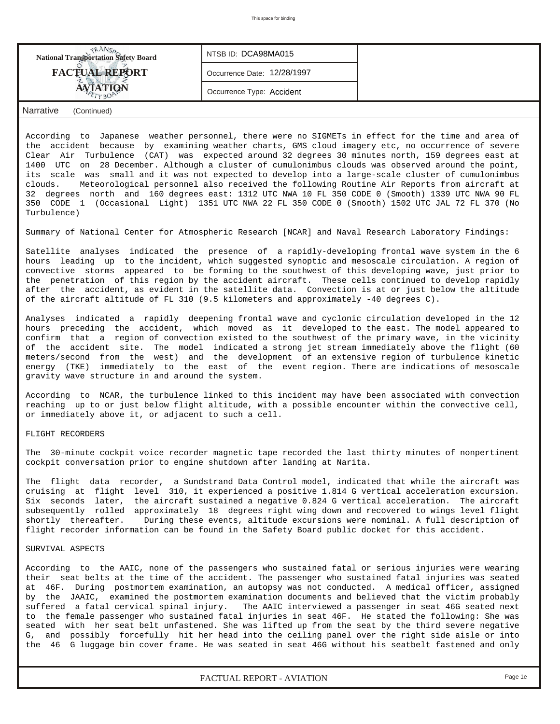| <b>National Transportation Safety Board</b> | NTSB ID: DCA98MA015         |  |
|---------------------------------------------|-----------------------------|--|
| <b>FACTUAL REPORT</b>                       | Occurrence Date: 12/28/1997 |  |
| AVIATION                                    | Occurrence Type: Accident   |  |
| Narrative<br>(Continued)                    |                             |  |

According to Japanese weather personnel, there were no SIGMETs in effect for the time and area of the accident because by examining weather charts, GMS cloud imagery etc, no occurrence of severe Clear Air Turbulence (CAT) was expected around 32 degrees 30 minutes north, 159 degrees east at 1400 UTC on 28 December. Although a cluster of cumulonimbus clouds was observed around the point, its scale was small and it was not expected to develop into a large-scale cluster of cumulonimbus clouds. Meteorological personnel also received the following Routine Air Reports from aircraft at 32 degrees north and 160 degrees east: 1312 UTC NWA 10 FL 350 CODE 0 (Smooth) 1339 UTC NWA 90 FL 350 CODE 1 (Occasional Light) 1351 UTC NWA 22 FL 350 CODE 0 (Smooth) 1502 UTC JAL 72 FL 370 (No Turbulence)

Summary of National Center for Atmospheric Research [NCAR] and Naval Research Laboratory Findings:

Satellite analyses indicated the presence of a rapidly-developing frontal wave system in the 6 hours leading up to the incident, which suggested synoptic and mesoscale circulation. A region of convective storms appeared to be forming to the southwest of this developing wave, just prior to the penetration of this region by the accident aircraft. These cells continued to develop rapidly after the accident, as evident in the satellite data. Convection is at or just below the altitude of the aircraft altitude of FL 310 (9.5 kilometers and approximately -40 degrees C).

Analyses indicated a rapidly deepening frontal wave and cyclonic circulation developed in the 12 hours preceding the accident, which moved as it developed to the east. The model appeared to confirm that a region of convection existed to the southwest of the primary wave, in the vicinity of the accident site. The model indicated a strong jet stream immediately above the flight (60 meters/second from the west) and the development of an extensive region of turbulence kinetic energy (TKE) immediately to the east of the event region. There are indications of mesoscale gravity wave structure in and around the system.

According to NCAR, the turbulence linked to this incident may have been associated with convection reaching up to or just below flight altitude, with a possible encounter within the convective cell, or immediately above it, or adjacent to such a cell.

### FLIGHT RECORDERS

The 30-minute cockpit voice recorder magnetic tape recorded the last thirty minutes of nonpertinent cockpit conversation prior to engine shutdown after landing at Narita.

The flight data recorder, a Sundstrand Data Control model, indicated that while the aircraft was cruising at flight level 310, it experienced a positive 1.814 G vertical acceleration excursion. Six seconds later, the aircraft sustained a negative 0.824 G vertical acceleration. The aircraft subsequently rolled approximately 18 degrees right wing down and recovered to wings level flight shortly thereafter. During these events, altitude excursions were nominal. A full description of flight recorder information can be found in the Safety Board public docket for this accident.

# SURVIVAL ASPECTS

According to the AAIC, none of the passengers who sustained fatal or serious injuries were wearing their seat belts at the time of the accident. The passenger who sustained fatal injuries was seated at 46F. During postmortem examination, an autopsy was not conducted. A medical officer, assigned by the JAAIC, examined the postmortem examination documents and believed that the victim probably suffered a fatal cervical spinal injury. The AAIC interviewed a passenger in seat 46G seated next to the female passenger who sustained fatal injuries in seat 46F. He stated the following: She was seated with her seat belt unfastened. She was lifted up from the seat by the third severe negative G, and possibly forcefully hit her head into the ceiling panel over the right side aisle or into the 46 G luggage bin cover frame. He was seated in seat 46G without his seatbelt fastened and only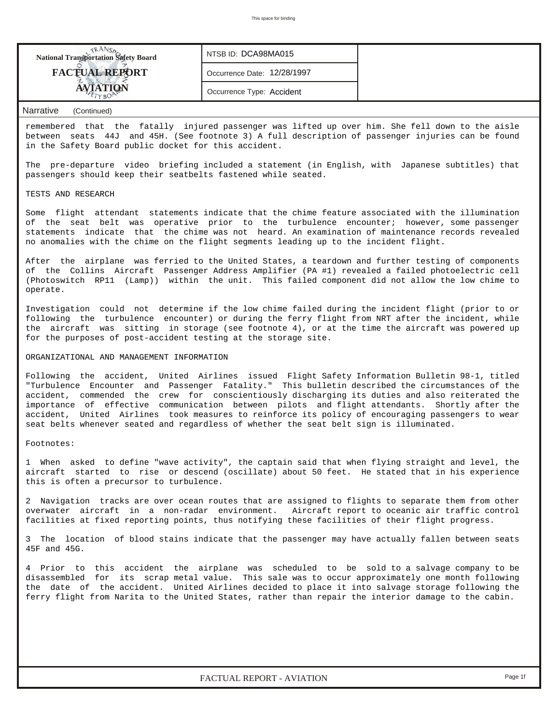| <b>National Transportation Safety Board</b> | NTSB ID: DCA98MA015         |  |
|---------------------------------------------|-----------------------------|--|
| <b>FACTUAL REPORT</b>                       | Occurrence Date: 12/28/1997 |  |
|                                             | Occurrence Type: Accident   |  |

remembered that the fatally injured passenger was lifted up over him. She fell down to the aisle between seats 44J and 45H. (See footnote 3) A full description of passenger injuries can be found in the Safety Board public docket for this accident.

The pre-departure video briefing included a statement (in English, with Japanese subtitles) that passengers should keep their seatbelts fastened while seated.

### TESTS AND RESEARCH

Some flight attendant statements indicate that the chime feature associated with the illumination of the seat belt was operative prior to the turbulence encounter; however, some passenger statements indicate that the chime was not heard. An examination of maintenance records revealed no anomalies with the chime on the flight segments leading up to the incident flight.

After the airplane was ferried to the United States, a teardown and further testing of components of the Collins Aircraft Passenger Address Amplifier (PA #1) revealed a failed photoelectric cell (Photoswitch RP11 (Lamp)) within the unit. This failed component did not allow the low chime to operate.

Investigation could not determine if the low chime failed during the incident flight (prior to or following the turbulence encounter) or during the ferry flight from NRT after the incident, while the aircraft was sitting in storage (see footnote 4), or at the time the aircraft was powered up for the purposes of post-accident testing at the storage site.

# ORGANIZATIONAL AND MANAGEMENT INFORMATION

Following the accident, United Airlines issued Flight Safety Information Bulletin 98-1, titled "Turbulence Encounter and Passenger Fatality." This bulletin described the circumstances of the accident, commended the crew for conscientiously discharging its duties and also reiterated the importance of effective communication between pilots and flight attendants. Shortly after the accident, United Airlines took measures to reinforce its policy of encouraging passengers to wear seat belts whenever seated and regardless of whether the seat belt sign is illuminated.

## Footnotes:

1 When asked to define "wave activity", the captain said that when flying straight and level, the aircraft started to rise or descend (oscillate) about 50 feet. He stated that in his experience this is often a precursor to turbulence.

2 Navigation tracks are over ocean routes that are assigned to flights to separate them from other overwater aircraft in a non-radar environment. Aircraft report to oceanic air traffic control facilities at fixed reporting points, thus notifying these facilities of their flight progress.

3 The location of blood stains indicate that the passenger may have actually fallen between seats 45F and 45G.

4 Prior to this accident the airplane was scheduled to be sold to a salvage company to be disassembled for its scrap metal value. This sale was to occur approximately one month following the date of the accident. United Airlines decided to place it into salvage storage following the ferry flight from Narita to the United States, rather than repair the interior damage to the cabin.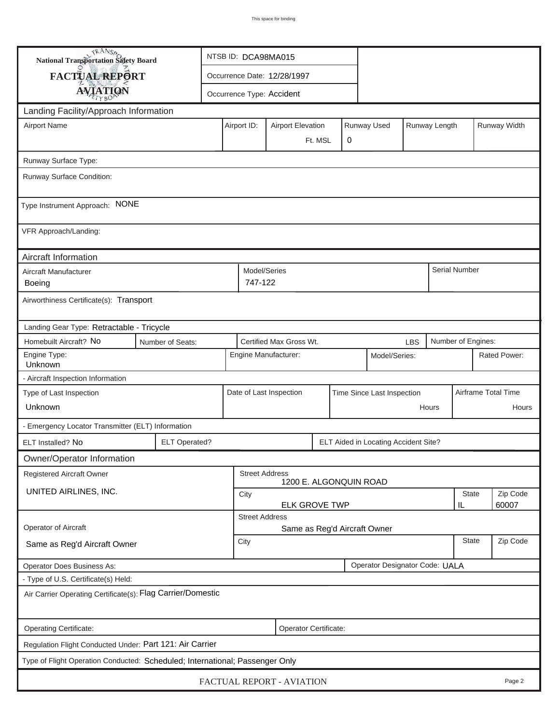| TRANSA<br>NTSB ID: DCA98MA015<br>National Transportation Safety Board        |                                                                                 |                                                 |                         |                           |  |                            |                                      |              |                     |                      |          |              |
|------------------------------------------------------------------------------|---------------------------------------------------------------------------------|-------------------------------------------------|-------------------------|---------------------------|--|----------------------------|--------------------------------------|--------------|---------------------|----------------------|----------|--------------|
| FACTUAL REPORT                                                               |                                                                                 |                                                 |                         |                           |  |                            |                                      |              |                     |                      |          |              |
| <b>AVIATION</b>                                                              |                                                                                 | Occurrence Type: Accident                       |                         |                           |  |                            |                                      |              |                     |                      |          |              |
| Landing Facility/Approach Information                                        |                                                                                 |                                                 |                         |                           |  |                            |                                      |              |                     |                      |          |              |
| <b>Airport Name</b>                                                          |                                                                                 |                                                 | Airport ID:             | <b>Airport Elevation</b>  |  |                            | Runway Used                          |              | Runway Length       |                      |          | Runway Width |
| 0<br>Ft. MSL                                                                 |                                                                                 |                                                 |                         |                           |  |                            |                                      |              |                     |                      |          |              |
| Runway Surface Type:                                                         |                                                                                 |                                                 |                         |                           |  |                            |                                      |              |                     |                      |          |              |
| Runway Surface Condition:                                                    |                                                                                 |                                                 |                         |                           |  |                            |                                      |              |                     |                      |          |              |
| Type Instrument Approach: NONE                                               |                                                                                 |                                                 |                         |                           |  |                            |                                      |              |                     |                      |          |              |
| VFR Approach/Landing:                                                        |                                                                                 |                                                 |                         |                           |  |                            |                                      |              |                     |                      |          |              |
| Aircraft Information                                                         |                                                                                 |                                                 |                         |                           |  |                            |                                      |              |                     |                      |          |              |
| Aircraft Manufacturer<br>Boeing                                              |                                                                                 |                                                 | Model/Series<br>747-122 |                           |  |                            |                                      |              |                     | <b>Serial Number</b> |          |              |
| Airworthiness Certificate(s): Transport                                      |                                                                                 |                                                 |                         |                           |  |                            |                                      |              |                     |                      |          |              |
| Landing Gear Type: Retractable - Tricycle                                    |                                                                                 |                                                 |                         |                           |  |                            |                                      |              |                     |                      |          |              |
| Homebuilt Aircraft? No                                                       | Certified Max Gross Wt.<br>Number of Engines:<br>Number of Seats:<br><b>LBS</b> |                                                 |                         |                           |  |                            |                                      |              |                     |                      |          |              |
| Engine Type:<br>Unknown                                                      | Engine Manufacturer:<br>Model/Series:                                           |                                                 |                         |                           |  |                            |                                      | Rated Power: |                     |                      |          |              |
| - Aircraft Inspection Information                                            |                                                                                 |                                                 |                         |                           |  |                            |                                      |              |                     |                      |          |              |
| Type of Last Inspection                                                      |                                                                                 |                                                 | Date of Last Inspection |                           |  | Time Since Last Inspection |                                      |              | Airframe Total Time |                      |          |              |
| Unknown                                                                      |                                                                                 |                                                 | Hours                   |                           |  |                            |                                      |              |                     | Hours                |          |              |
| - Emergency Locator Transmitter (ELT) Information                            |                                                                                 |                                                 |                         |                           |  |                            |                                      |              |                     |                      |          |              |
| ELT Installed? No                                                            | <b>ELT Operated?</b>                                                            |                                                 |                         |                           |  |                            | ELT Aided in Locating Accident Site? |              |                     |                      |          |              |
| Owner/Operator Information                                                   |                                                                                 |                                                 |                         |                           |  |                            |                                      |              |                     |                      |          |              |
| Registered Aircraft Owner                                                    |                                                                                 | <b>Street Address</b><br>1200 E. ALGONQUIN ROAD |                         |                           |  |                            |                                      |              |                     |                      |          |              |
| UNITED AIRLINES, INC.                                                        |                                                                                 | City                                            |                         |                           |  |                            |                                      |              | <b>State</b>        |                      | Zip Code |              |
|                                                                              | <b>ELK GROVE TWP</b><br>60007<br>IL<br><b>Street Address</b>                    |                                                 |                         |                           |  |                            |                                      |              |                     |                      |          |              |
| Operator of Aircraft                                                         |                                                                                 | Same as Reg'd Aircraft Owner                    |                         |                           |  |                            |                                      |              |                     |                      |          |              |
| Same as Reg'd Aircraft Owner                                                 |                                                                                 | City                                            |                         |                           |  |                            |                                      | <b>State</b> |                     | Zip Code             |          |              |
| <b>Operator Does Business As:</b>                                            |                                                                                 |                                                 |                         |                           |  |                            | Operator Designator Code: UALA       |              |                     |                      |          |              |
| - Type of U.S. Certificate(s) Held:                                          |                                                                                 |                                                 |                         |                           |  |                            |                                      |              |                     |                      |          |              |
| Air Carrier Operating Certificate(s): Flag Carrier/Domestic                  |                                                                                 |                                                 |                         |                           |  |                            |                                      |              |                     |                      |          |              |
| Operating Certificate:                                                       |                                                                                 |                                                 |                         | Operator Certificate:     |  |                            |                                      |              |                     |                      |          |              |
| Regulation Flight Conducted Under: Part 121: Air Carrier                     |                                                                                 |                                                 |                         |                           |  |                            |                                      |              |                     |                      |          |              |
| Type of Flight Operation Conducted: Scheduled; International; Passenger Only |                                                                                 |                                                 |                         |                           |  |                            |                                      |              |                     |                      |          |              |
|                                                                              |                                                                                 |                                                 |                         | FACTUAL REPORT - AVIATION |  |                            |                                      |              |                     |                      |          | Page 2       |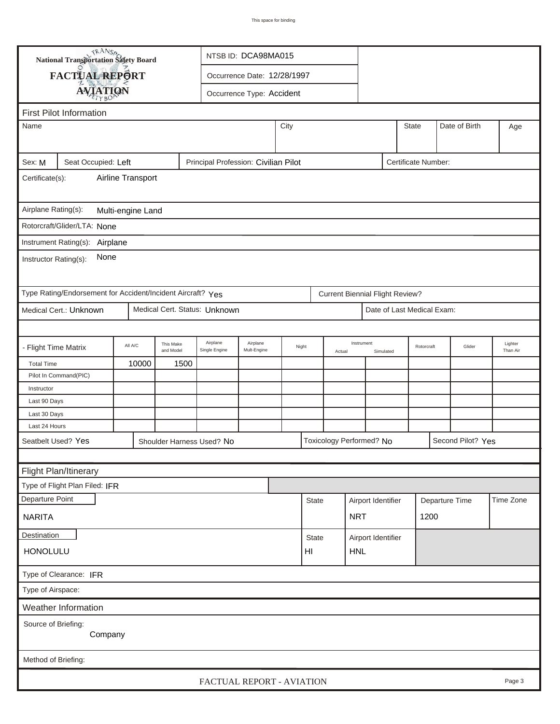|                                                                                              | <b>National Transportation Safety Board</b>   |         |           |                               | NTSB ID: DCA98MA015 |       |              |                          |            |                                        |  |            |                   |           |
|----------------------------------------------------------------------------------------------|-----------------------------------------------|---------|-----------|-------------------------------|---------------------|-------|--------------|--------------------------|------------|----------------------------------------|--|------------|-------------------|-----------|
|                                                                                              | FACTUAL REPORT<br>Occurrence Date: 12/28/1997 |         |           |                               |                     |       |              |                          |            |                                        |  |            |                   |           |
|                                                                                              | <b>AVIATION</b><br>Occurrence Type: Accident  |         |           |                               |                     |       |              |                          |            |                                        |  |            |                   |           |
|                                                                                              |                                               |         |           |                               |                     |       |              |                          |            |                                        |  |            |                   |           |
| <b>First Pilot Information</b>                                                               |                                               |         |           |                               |                     |       |              |                          |            |                                        |  |            |                   |           |
|                                                                                              | City<br><b>State</b><br>Date of Birth<br>Name |         |           |                               |                     |       |              |                          |            |                                        |  | Age        |                   |           |
|                                                                                              |                                               |         |           |                               |                     |       |              |                          |            |                                        |  |            |                   |           |
| Principal Profession: Civilian Pilot<br>Sex: M<br>Seat Occupied: Left<br>Certificate Number: |                                               |         |           |                               |                     |       |              |                          |            |                                        |  |            |                   |           |
| Airline Transport<br>Certificate(s):                                                         |                                               |         |           |                               |                     |       |              |                          |            |                                        |  |            |                   |           |
|                                                                                              |                                               |         |           |                               |                     |       |              |                          |            |                                        |  |            |                   |           |
| Airplane Rating(s):<br>Multi-engine Land                                                     |                                               |         |           |                               |                     |       |              |                          |            |                                        |  |            |                   |           |
| Rotorcraft/Glider/LTA: None                                                                  |                                               |         |           |                               |                     |       |              |                          |            |                                        |  |            |                   |           |
| Instrument Rating(s): Airplane                                                               |                                               |         |           |                               |                     |       |              |                          |            |                                        |  |            |                   |           |
|                                                                                              |                                               |         |           |                               |                     |       |              |                          |            |                                        |  |            |                   |           |
| Instructor Rating(s):                                                                        | None                                          |         |           |                               |                     |       |              |                          |            |                                        |  |            |                   |           |
|                                                                                              |                                               |         |           |                               |                     |       |              |                          |            |                                        |  |            |                   |           |
| Type Rating/Endorsement for Accident/Incident Aircraft? Yes                                  |                                               |         |           |                               |                     |       |              |                          |            | <b>Current Biennial Flight Review?</b> |  |            |                   |           |
| Medical Cert.: Unknown                                                                       |                                               |         |           | Medical Cert. Status: Unknown |                     |       |              |                          |            | Date of Last Medical Exam:             |  |            |                   |           |
|                                                                                              |                                               |         |           |                               |                     |       |              |                          |            |                                        |  |            |                   |           |
|                                                                                              |                                               | All A/C | This Make | Airplane                      | Airplane            |       |              |                          | Instrument |                                        |  |            |                   | Lighter   |
| <b>Flight Time Matrix</b>                                                                    |                                               |         | and Model | Single Engine                 | Mult-Engine         | Night |              | Actual                   |            | Simulated                              |  | Rotorcraft | Glider            | Than Air  |
| <b>Total Time</b>                                                                            |                                               | 10000   | 1500      |                               |                     |       |              |                          |            |                                        |  |            |                   |           |
| Pilot In Command(PIC)<br>Instructor                                                          |                                               |         |           |                               |                     |       |              |                          |            |                                        |  |            |                   |           |
| Last 90 Days                                                                                 |                                               |         |           |                               |                     |       |              |                          |            |                                        |  |            |                   |           |
| Last 30 Days                                                                                 |                                               |         |           |                               |                     |       |              |                          |            |                                        |  |            |                   |           |
| Last 24 Hours                                                                                |                                               |         |           |                               |                     |       |              |                          |            |                                        |  |            |                   |           |
| Seatbelt Used? Yes                                                                           |                                               |         |           | Shoulder Harness Used? No     |                     |       |              | Toxicology Performed? No |            |                                        |  |            | Second Pilot? Yes |           |
|                                                                                              |                                               |         |           |                               |                     |       |              |                          |            |                                        |  |            |                   |           |
| Flight Plan/Itinerary                                                                        |                                               |         |           |                               |                     |       |              |                          |            |                                        |  |            |                   |           |
| Type of Flight Plan Filed: IFR                                                               |                                               |         |           |                               |                     |       |              |                          |            |                                        |  |            |                   |           |
| Departure Point                                                                              |                                               |         |           |                               |                     |       | <b>State</b> |                          |            | Airport Identifier                     |  |            | Departure Time    | Time Zone |
|                                                                                              |                                               |         |           |                               |                     |       |              |                          |            |                                        |  |            |                   |           |
| <b>NRT</b><br>1200<br><b>NARITA</b>                                                          |                                               |         |           |                               |                     |       |              |                          |            |                                        |  |            |                   |           |
| Destination                                                                                  |                                               |         |           |                               |                     |       |              | State                    |            | Airport Identifier                     |  |            |                   |           |
|                                                                                              | <b>HONOLULU</b><br>HI<br><b>HNL</b>           |         |           |                               |                     |       |              |                          |            |                                        |  |            |                   |           |
| Type of Clearance: IFR                                                                       |                                               |         |           |                               |                     |       |              |                          |            |                                        |  |            |                   |           |
| Type of Airspace:                                                                            |                                               |         |           |                               |                     |       |              |                          |            |                                        |  |            |                   |           |
| Weather Information                                                                          |                                               |         |           |                               |                     |       |              |                          |            |                                        |  |            |                   |           |
|                                                                                              |                                               |         |           |                               |                     |       |              |                          |            |                                        |  |            |                   |           |
| Source of Briefing:                                                                          | Company                                       |         |           |                               |                     |       |              |                          |            |                                        |  |            |                   |           |
|                                                                                              |                                               |         |           |                               |                     |       |              |                          |            |                                        |  |            |                   |           |
| Method of Briefing:                                                                          |                                               |         |           |                               |                     |       |              |                          |            |                                        |  |            |                   |           |
|                                                                                              |                                               |         |           | FACTUAL REPORT - AVIATION     |                     |       |              |                          |            |                                        |  |            |                   | Page 3    |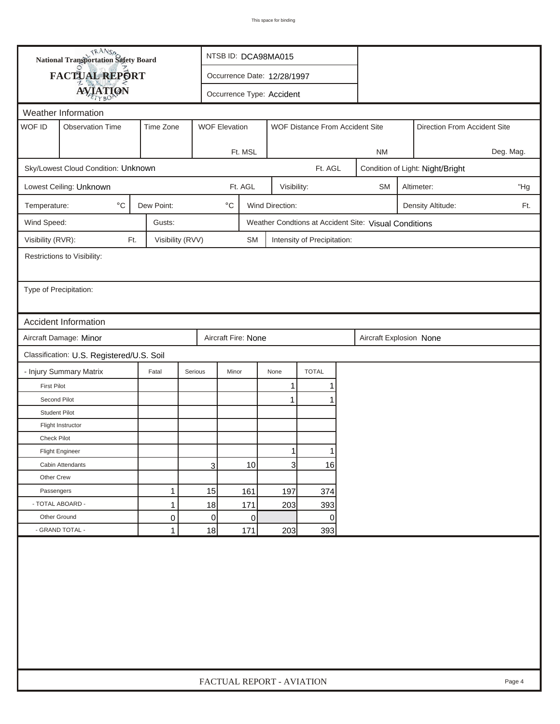| FACTUAL REPORT<br>Occurrence Date: 12/28/1997<br><b>AVIATION</b><br>Occurrence Type: Accident<br>Weather Information<br>WOF ID<br><b>Observation Time</b><br>Time Zone<br><b>WOF Elevation</b><br>WOF Distance From Accident Site<br>Direction From Accident Site<br>Ft. MSL<br><b>NM</b><br>Sky/Lowest Cloud Condition: Unknown<br>Ft. AGL<br>Condition of Light: Night/Bright<br>Ft. AGL<br>Lowest Ceiling: Unknown<br>Visibility:<br><b>SM</b><br>Altimeter:<br>$^{\circ}$ C<br>Dew Point:<br>$^\circ\mathrm{C}$<br>Wind Direction:<br>Temperature:<br>Density Altitude:<br>Wind Speed:<br>Gusts:<br>Weather Condtions at Accident Site: Visual Conditions<br>Visibility (RVR):<br>Visibility (RVV)<br>Ft.<br><b>SM</b><br>Intensity of Precipitation:<br>Restrictions to Visibility:<br>Type of Precipitation:<br>Accident Information<br>Aircraft Damage: Minor<br>Aircraft Fire: None<br>Aircraft Explosion None<br>Classification: U.S. Registered/U.S. Soil<br><b>TOTAL</b><br>- Injury Summary Matrix<br>Fatal<br>Serious<br>Minor<br>None<br><b>First Pilot</b><br>1<br>1<br>Second Pilot<br>1<br><b>Student Pilot</b><br>Flight Instructor<br>Check Pilot<br>$\mathbf{1}$<br>1<br><b>Flight Engineer</b><br>$\overline{3}$<br>3<br>10<br>16<br>Cabin Attendants<br>Other Crew<br>15<br>1<br>161<br>197<br>Passengers<br>374<br>- TOTAL ABOARD -<br>$\mathbf{1}$<br>18<br>171<br>203<br>393 | <b>National Transportation Safety Board</b> |   |  | NTSB ID: DCA98MA015       |   |  |   |  |  |     |  |        |
|-------------------------------------------------------------------------------------------------------------------------------------------------------------------------------------------------------------------------------------------------------------------------------------------------------------------------------------------------------------------------------------------------------------------------------------------------------------------------------------------------------------------------------------------------------------------------------------------------------------------------------------------------------------------------------------------------------------------------------------------------------------------------------------------------------------------------------------------------------------------------------------------------------------------------------------------------------------------------------------------------------------------------------------------------------------------------------------------------------------------------------------------------------------------------------------------------------------------------------------------------------------------------------------------------------------------------------------------------------------------------------------------------------|---------------------------------------------|---|--|---------------------------|---|--|---|--|--|-----|--|--------|
|                                                                                                                                                                                                                                                                                                                                                                                                                                                                                                                                                                                                                                                                                                                                                                                                                                                                                                                                                                                                                                                                                                                                                                                                                                                                                                                                                                                                       |                                             |   |  |                           |   |  |   |  |  |     |  |        |
|                                                                                                                                                                                                                                                                                                                                                                                                                                                                                                                                                                                                                                                                                                                                                                                                                                                                                                                                                                                                                                                                                                                                                                                                                                                                                                                                                                                                       |                                             |   |  |                           |   |  |   |  |  |     |  |        |
|                                                                                                                                                                                                                                                                                                                                                                                                                                                                                                                                                                                                                                                                                                                                                                                                                                                                                                                                                                                                                                                                                                                                                                                                                                                                                                                                                                                                       |                                             |   |  |                           |   |  |   |  |  |     |  |        |
|                                                                                                                                                                                                                                                                                                                                                                                                                                                                                                                                                                                                                                                                                                                                                                                                                                                                                                                                                                                                                                                                                                                                                                                                                                                                                                                                                                                                       |                                             |   |  |                           |   |  |   |  |  |     |  |        |
|                                                                                                                                                                                                                                                                                                                                                                                                                                                                                                                                                                                                                                                                                                                                                                                                                                                                                                                                                                                                                                                                                                                                                                                                                                                                                                                                                                                                       |                                             |   |  |                           |   |  |   |  |  |     |  |        |
|                                                                                                                                                                                                                                                                                                                                                                                                                                                                                                                                                                                                                                                                                                                                                                                                                                                                                                                                                                                                                                                                                                                                                                                                                                                                                                                                                                                                       | Deg. Mag.                                   |   |  |                           |   |  |   |  |  |     |  |        |
|                                                                                                                                                                                                                                                                                                                                                                                                                                                                                                                                                                                                                                                                                                                                                                                                                                                                                                                                                                                                                                                                                                                                                                                                                                                                                                                                                                                                       |                                             |   |  |                           |   |  |   |  |  |     |  |        |
|                                                                                                                                                                                                                                                                                                                                                                                                                                                                                                                                                                                                                                                                                                                                                                                                                                                                                                                                                                                                                                                                                                                                                                                                                                                                                                                                                                                                       |                                             |   |  |                           |   |  |   |  |  | "Hg |  |        |
|                                                                                                                                                                                                                                                                                                                                                                                                                                                                                                                                                                                                                                                                                                                                                                                                                                                                                                                                                                                                                                                                                                                                                                                                                                                                                                                                                                                                       |                                             |   |  |                           |   |  |   |  |  |     |  | Ft.    |
|                                                                                                                                                                                                                                                                                                                                                                                                                                                                                                                                                                                                                                                                                                                                                                                                                                                                                                                                                                                                                                                                                                                                                                                                                                                                                                                                                                                                       |                                             |   |  |                           |   |  |   |  |  |     |  |        |
|                                                                                                                                                                                                                                                                                                                                                                                                                                                                                                                                                                                                                                                                                                                                                                                                                                                                                                                                                                                                                                                                                                                                                                                                                                                                                                                                                                                                       |                                             |   |  |                           |   |  |   |  |  |     |  |        |
|                                                                                                                                                                                                                                                                                                                                                                                                                                                                                                                                                                                                                                                                                                                                                                                                                                                                                                                                                                                                                                                                                                                                                                                                                                                                                                                                                                                                       |                                             |   |  |                           |   |  |   |  |  |     |  |        |
|                                                                                                                                                                                                                                                                                                                                                                                                                                                                                                                                                                                                                                                                                                                                                                                                                                                                                                                                                                                                                                                                                                                                                                                                                                                                                                                                                                                                       |                                             |   |  |                           |   |  |   |  |  |     |  |        |
|                                                                                                                                                                                                                                                                                                                                                                                                                                                                                                                                                                                                                                                                                                                                                                                                                                                                                                                                                                                                                                                                                                                                                                                                                                                                                                                                                                                                       |                                             |   |  |                           |   |  |   |  |  |     |  |        |
|                                                                                                                                                                                                                                                                                                                                                                                                                                                                                                                                                                                                                                                                                                                                                                                                                                                                                                                                                                                                                                                                                                                                                                                                                                                                                                                                                                                                       |                                             |   |  |                           |   |  |   |  |  |     |  |        |
|                                                                                                                                                                                                                                                                                                                                                                                                                                                                                                                                                                                                                                                                                                                                                                                                                                                                                                                                                                                                                                                                                                                                                                                                                                                                                                                                                                                                       |                                             |   |  |                           |   |  |   |  |  |     |  |        |
|                                                                                                                                                                                                                                                                                                                                                                                                                                                                                                                                                                                                                                                                                                                                                                                                                                                                                                                                                                                                                                                                                                                                                                                                                                                                                                                                                                                                       |                                             |   |  |                           |   |  |   |  |  |     |  |        |
|                                                                                                                                                                                                                                                                                                                                                                                                                                                                                                                                                                                                                                                                                                                                                                                                                                                                                                                                                                                                                                                                                                                                                                                                                                                                                                                                                                                                       |                                             |   |  |                           |   |  |   |  |  |     |  |        |
|                                                                                                                                                                                                                                                                                                                                                                                                                                                                                                                                                                                                                                                                                                                                                                                                                                                                                                                                                                                                                                                                                                                                                                                                                                                                                                                                                                                                       |                                             |   |  |                           |   |  |   |  |  |     |  |        |
|                                                                                                                                                                                                                                                                                                                                                                                                                                                                                                                                                                                                                                                                                                                                                                                                                                                                                                                                                                                                                                                                                                                                                                                                                                                                                                                                                                                                       |                                             |   |  |                           |   |  |   |  |  |     |  |        |
|                                                                                                                                                                                                                                                                                                                                                                                                                                                                                                                                                                                                                                                                                                                                                                                                                                                                                                                                                                                                                                                                                                                                                                                                                                                                                                                                                                                                       |                                             |   |  |                           |   |  |   |  |  |     |  |        |
|                                                                                                                                                                                                                                                                                                                                                                                                                                                                                                                                                                                                                                                                                                                                                                                                                                                                                                                                                                                                                                                                                                                                                                                                                                                                                                                                                                                                       |                                             |   |  |                           |   |  |   |  |  |     |  |        |
|                                                                                                                                                                                                                                                                                                                                                                                                                                                                                                                                                                                                                                                                                                                                                                                                                                                                                                                                                                                                                                                                                                                                                                                                                                                                                                                                                                                                       |                                             |   |  |                           |   |  |   |  |  |     |  |        |
|                                                                                                                                                                                                                                                                                                                                                                                                                                                                                                                                                                                                                                                                                                                                                                                                                                                                                                                                                                                                                                                                                                                                                                                                                                                                                                                                                                                                       |                                             |   |  |                           |   |  |   |  |  |     |  |        |
|                                                                                                                                                                                                                                                                                                                                                                                                                                                                                                                                                                                                                                                                                                                                                                                                                                                                                                                                                                                                                                                                                                                                                                                                                                                                                                                                                                                                       |                                             |   |  |                           |   |  |   |  |  |     |  |        |
|                                                                                                                                                                                                                                                                                                                                                                                                                                                                                                                                                                                                                                                                                                                                                                                                                                                                                                                                                                                                                                                                                                                                                                                                                                                                                                                                                                                                       |                                             |   |  |                           |   |  |   |  |  |     |  |        |
|                                                                                                                                                                                                                                                                                                                                                                                                                                                                                                                                                                                                                                                                                                                                                                                                                                                                                                                                                                                                                                                                                                                                                                                                                                                                                                                                                                                                       |                                             |   |  |                           |   |  |   |  |  |     |  |        |
|                                                                                                                                                                                                                                                                                                                                                                                                                                                                                                                                                                                                                                                                                                                                                                                                                                                                                                                                                                                                                                                                                                                                                                                                                                                                                                                                                                                                       |                                             |   |  |                           |   |  |   |  |  |     |  |        |
|                                                                                                                                                                                                                                                                                                                                                                                                                                                                                                                                                                                                                                                                                                                                                                                                                                                                                                                                                                                                                                                                                                                                                                                                                                                                                                                                                                                                       |                                             |   |  |                           |   |  |   |  |  |     |  |        |
| Other Ground<br>$\mathbf 0$                                                                                                                                                                                                                                                                                                                                                                                                                                                                                                                                                                                                                                                                                                                                                                                                                                                                                                                                                                                                                                                                                                                                                                                                                                                                                                                                                                           |                                             | 0 |  |                           | 0 |  | 0 |  |  |     |  |        |
| - GRAND TOTAL -<br>18<br>$\mathbf{1}$<br>171<br>203<br>393                                                                                                                                                                                                                                                                                                                                                                                                                                                                                                                                                                                                                                                                                                                                                                                                                                                                                                                                                                                                                                                                                                                                                                                                                                                                                                                                            |                                             |   |  |                           |   |  |   |  |  |     |  |        |
|                                                                                                                                                                                                                                                                                                                                                                                                                                                                                                                                                                                                                                                                                                                                                                                                                                                                                                                                                                                                                                                                                                                                                                                                                                                                                                                                                                                                       |                                             |   |  | FACTUAL REPORT - AVIATION |   |  |   |  |  |     |  | Page 4 |